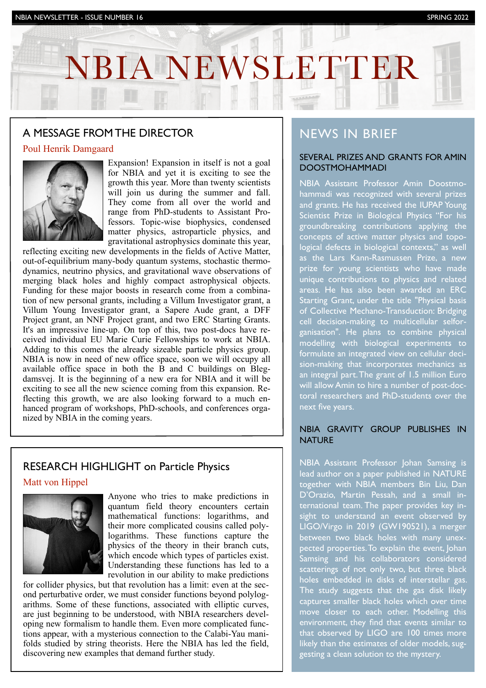# NBIA NEWSLETTER

INVESTOR NEWSLETTER IS NEWSLET AND A NEWSLETTER IN THE UPPER STATES OF THE UPPER STATES OF THE UPPER STATES OF

## A MESSAGE FROM THE DIRECTOR

### Poul Henrik Damgaard



Expansion! Expansion in itself is not a goal for NBIA and yet it is exciting to see the growth this year. More than twenty scientists will join us during the summer and fall. They come from all over the world and range from PhD-students to Assistant Professors. Topic-wise biophysics, condensed matter physics, astroparticle physics, and gravitational astrophysics dominate this year,

reflecting exciting new developments in the fields of Active Matter, out-of-equilibrium many-body quantum systems, stochastic thermodynamics, neutrino physics, and gravitational wave observations of merging black holes and highly compact astrophysical objects. Funding for these major boosts in research come from a combination of new personal grants, including a Villum Investigator grant, a Villum Young Investigator grant, a Sapere Aude grant, a DFF Project grant, an NNF Project grant, and two ERC Starting Grants. It's an impressive line-up. On top of this, two post-docs have received individual EU Marie Curie Fellowships to work at NBIA. Adding to this comes the already sizeable particle physics group. NBIA is now in need of new office space, soon we will occupy all available office space in both the B and C buildings on Blegdamsvej. It is the beginning of a new era for NBIA and it will be exciting to see all the new science coming from this expansion. Reflecting this growth, we are also looking forward to a much enhanced program of workshops, PhD-schools, and conferences organized by NBIA in the coming years.

## RESEARCH HIGHLIGHT on Particle Physics

#### Matt von Hippel



Anyone who tries to make predictions in quantum field theory encounters certain mathematical functions: logarithms, and their more complicated cousins called polylogarithms. These functions capture the physics of the theory in their branch cuts, which encode which types of particles exist. Understanding these functions has led to a revolution in our ability to make predictions

for collider physics, but that revolution has a limit: even at the second perturbative order, we must consider functions beyond polylogarithms. Some of these functions, associated with elliptic curves, are just beginning to be understood, with NBIA researchers developing new formalism to handle them. Even more complicated functions appear, with a mysterious connection to the Calabi-Yau manifolds studied by string theorists. Here the NBIA has led the field, discovering new examples that demand further study.

## NEWS IN BRIEF

#### SEVERAL PRIZES AND GRANTS FOR AMIN DOOSTMOHAMMADI

NBIA Assistant Professor Amin Doostmohammadi was recognized with several prizes and grants. He has received the IUPAP Young Scientist Prize in Biological Physics "For his groundbreaking contributions applying the concepts of active matter physics and topological defects in biological contexts," as well as the Lars Kann-Rasmussen Prize, a new prize for young scientists who have made unique contributions to physics and related areas. He has also been awarded an ERC Starting Grant, under the title "Physical basis of Collective Mechano-Transduction: Bridging cell decision-making to multicellular selforganisation". He plans to combine physical modelling with biological experiments to formulate an integrated view on cellular decision-making that incorporates mechanics as an integral part. The grant of 1.5 million Euro will allow Amin to hire a number of post-doctoral researchers and PhD-students over the next five years.

#### NBIA GRAVITY GROUP PUBLISHES IN **NATURE**

NBIA Assistant Professor Johan Samsing is lead author on a paper published in NATURE together with NBIA members Bin Liu, Dan D'Orazio, Martin Pessah, and a small international team. The paper provides key insight to understand an event observed by LIGO/Virgo in 2019 (GW190521), a merger between two black holes with many unexpected properties. To explain the event, Johan Samsing and his collaborators considered scatterings of not only two, but three black holes embedded in disks of interstellar gas. The study suggests that the gas disk likely captures smaller black holes which over time move closer to each other. Modelling this environment, they find that events similar to that observed by LIGO are 100 times more likely than the estimates of older models, suggesting a clean solution to the mystery.